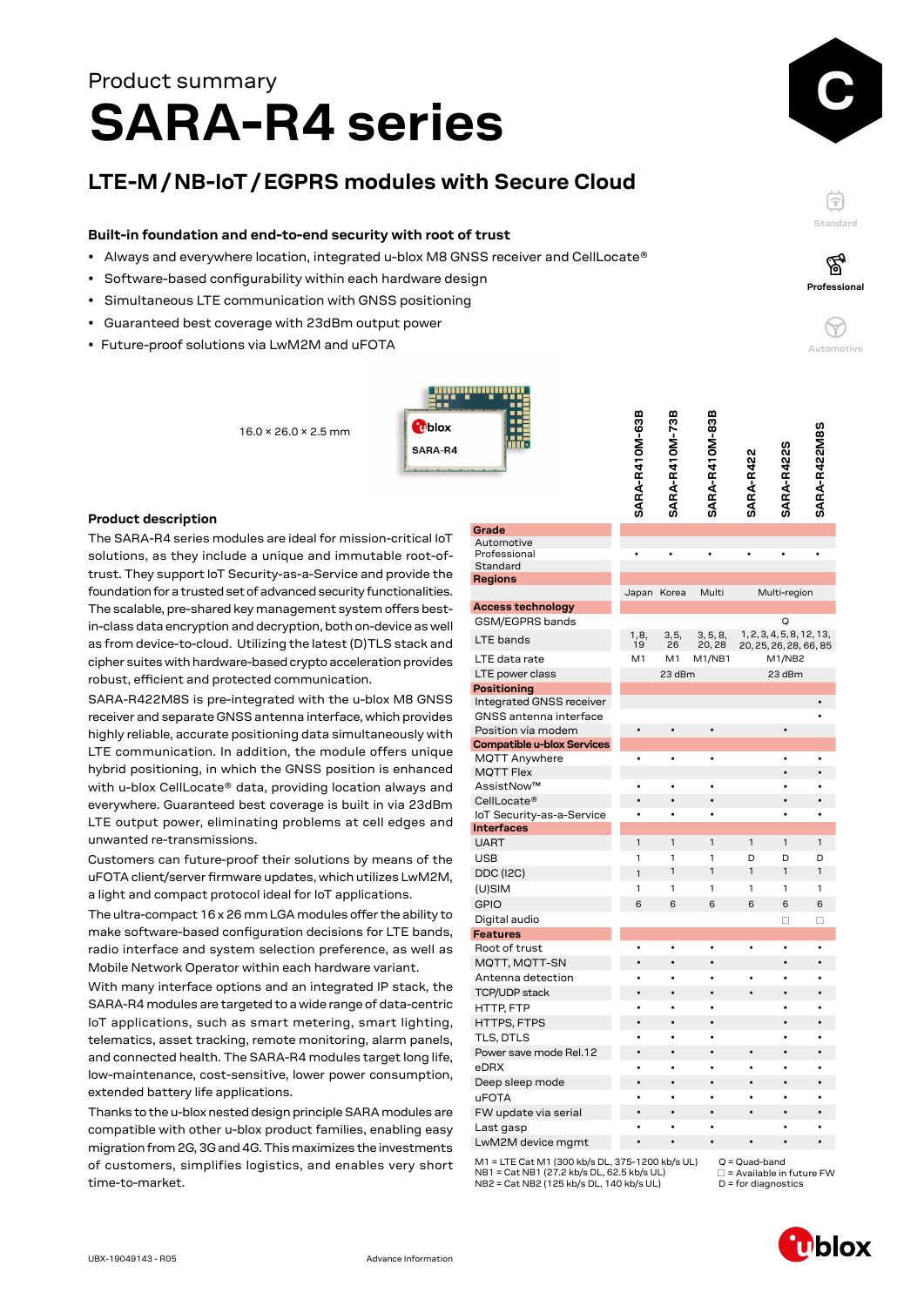# **SARA-R4 series** Product summary

## **LTE-M / NB-IoT / EGPRS modules with Secure Cloud**

#### **Built-in foundation and end-to-end security with root of trust**

- Always and everywhere location, integrated u-blox M8 GNSS receiver and CellLocate®
- Software-based configurability within each hardware design

16.0 × 26.0 × 2.5 mm

- Simultaneous LTE communication with GNSS positioning
- Guaranteed best coverage with 23dBm output power
- Future-proof solutions via LwM2M and uFOTA



#### **Product description**

The SARA-R4 series modules are ideal for mission-critical IoT solutions, as they include a unique and immutable root-oftrust. They support IoT Security-as-a-Service and provide the foundation for a trusted set of advanced security functionalities. The scalable, pre-shared key management system offers bestin-class data encryption and decryption, both on-device as well as from device-to-cloud. Utilizing the latest (D)TLS stack and cipher suites with hardware-based crypto acceleration provides robust, efficient and protected communication.

SARA-R422M8S is pre-integrated with the u-blox M8 GNSS receiver and separate GNSS antenna interface, which provides highly reliable, accurate positioning data simultaneously with LTE communication. In addition, the module offers unique hybrid positioning, in which the GNSS position is enhanced with u-blox CellLocate® data, providing location always and everywhere. Guaranteed best coverage is built in via 23dBm LTE output power, eliminating problems at cell edges and unwanted re-transmissions.

Customers can future-proof their solutions by means of the uFOTA client/server firmware updates, which utilizes LwM2M, a light and compact protocol ideal for IoT applications.

The ultra-compact 16 x 26 mm LGA modules offer the ability to make software-based configuration decisions for LTE bands, radio interface and system selection preference, as well as Mobile Network Operator within each hardware variant.

With many interface options and an integrated IP stack, the SARA-R4 modules are targeted to a wide range of data-centric IoT applications, such as smart metering, smart lighting, telematics, asset tracking, remote monitoring, alarm panels, and connected health. The SARA-R4 modules target long life, low-maintenance, cost-sensitive, lower power consumption, extended battery life applications.

Thanks to the u-blox nested design principle SARA modules are compatible with other u-blox product families, enabling easy migration from 2G, 3G and 4G. This maximizes the investments of customers, simplifies logistics, and enables very short time-to-market.

|                                          | SARA-R410M-63B | <b>SARA-R410M-73B</b> | SARA-R410M-83B     | <b>SARA-R422</b> | <b>SARA-R422S</b>                                   | SARA-R422M8S             |
|------------------------------------------|----------------|-----------------------|--------------------|------------------|-----------------------------------------------------|--------------------------|
| Grade                                    |                |                       |                    |                  |                                                     |                          |
| Automotive<br>Professional               |                |                       |                    |                  |                                                     |                          |
| Standard                                 |                |                       |                    |                  |                                                     |                          |
| Regions                                  |                |                       |                    |                  |                                                     |                          |
|                                          | Japan Korea    |                       | Multi              |                  | Multi-region                                        |                          |
| <b>Access technology</b>                 |                |                       |                    |                  |                                                     |                          |
| GSM/EGPRS bands                          |                |                       |                    |                  | O                                                   |                          |
| LTE bands                                | 1,8,<br>19     | 3,5,<br>26            | 3, 5, 8,<br>20, 28 |                  | 1, 2, 3, 4, 5, 8, 12, 13,<br>20, 25, 26, 28, 66, 85 |                          |
| LTE data rate                            | M1             | M1                    | M1/NB1             |                  | M1/NB2                                              |                          |
| LTE power class                          |                | 23 dBm                |                    |                  | 23 dBm                                              |                          |
| <b>Positioning</b>                       |                |                       |                    |                  |                                                     |                          |
| Integrated GNSS receiver                 |                |                       |                    |                  |                                                     |                          |
| GNSS antenna interface                   |                |                       |                    |                  |                                                     |                          |
| Position via modem                       |                |                       | $\bullet$          |                  | $\bullet$                                           |                          |
| <b>Compatible u-blox Services</b>        |                |                       |                    |                  |                                                     |                          |
| MQTT Anywhere                            |                | $\bullet$             | $\bullet$          |                  | $\bullet$                                           | $\bullet$                |
| <b>MQTT Flex</b>                         |                |                       |                    |                  |                                                     |                          |
| AssistNow™                               | $\bullet$      | $\bullet$             | $\bullet$          |                  | $\bullet$                                           | $\bullet$                |
| CellLocate®<br>IoT Security-as-a-Service | $\bullet$      | $\bullet$             |                    |                  |                                                     |                          |
| <b>Interfaces</b>                        |                |                       |                    |                  |                                                     |                          |
| <b>UART</b>                              | 1              | 1                     | 1                  | $\mathbf{1}$     | 1                                                   | 1                        |
| <b>USB</b>                               | 1              | 1                     | 1                  | D                | D                                                   | D                        |
| <b>DDC (I2C)</b>                         | 1              | 1                     | 1                  | 1                | 1                                                   | 1                        |
| (U)SIM                                   | 1              | 1                     | 1                  | 1                | 1                                                   | 1                        |
| <b>GPIO</b>                              | 6              | 6                     | 6                  | 6                | 6                                                   | 6                        |
| Digital audio                            |                |                       |                    |                  |                                                     | п                        |
| <b>Features</b>                          |                |                       |                    |                  | □                                                   |                          |
| Root of trust                            | $\bullet$      | $\bullet$             | $\bullet$          | $\bullet$        | $\bullet$                                           | $\bullet$                |
| MQTT, MQTT-SN                            | $\bullet$      | $\bullet$             | $\bullet$          |                  | $\bullet$                                           | $\bullet$                |
| Antenna detection                        | $\bullet$      | $\bullet$             |                    |                  | ٠                                                   |                          |
| <b>TCP/UDP stack</b>                     | $\bullet$      | $\bullet$             | $\bullet$          |                  |                                                     |                          |
| HTTP, FTP                                | $\bullet$      | $\bullet$             | $\bullet$          |                  |                                                     |                          |
| HTTPS, FTPS                              | $\bullet$      | $\bullet$             | $\bullet$          |                  | ٠                                                   |                          |
| TLS, DTLS                                | $\bullet$      | $\bullet$             |                    |                  |                                                     |                          |
| Power save mode Rel.12                   | $\bullet$      | $\bullet$             | $\bullet$          | ٠                |                                                     |                          |
| eDRX                                     | $\bullet$      | $\bullet$             | ٠                  |                  |                                                     |                          |
| Deep sleep mode                          | $\bullet$      | $\bullet$             | $\bullet$          | ٠                |                                                     |                          |
| <b>uFOTA</b>                             | $\bullet$      | $\bullet$             | ٠                  | ٠                |                                                     |                          |
| FW update via serial                     | $\bullet$      | $\bullet$             | $\bullet$          |                  |                                                     |                          |
| Last gasp                                |                | $\bullet$             |                    |                  |                                                     |                          |
| LwM2M device mgmt                        |                |                       | $\bullet$          |                  |                                                     | $\overline{\phantom{a}}$ |
|                                          |                |                       |                    |                  |                                                     |                          |

M1 = LTE Cat M1 (300 kb/s DL, 375-1200 kb/s UL)  $NR1 = Cat NR1 (27.2 k h/s Dl, 62.5 k h/s Ul)$ NB2 = Cat NB2 (125 kb/s DL, 140 kb/s UL)

Q = Quad-band  $\Box$  = Available in future FW  $D =$  for diagnostics





F